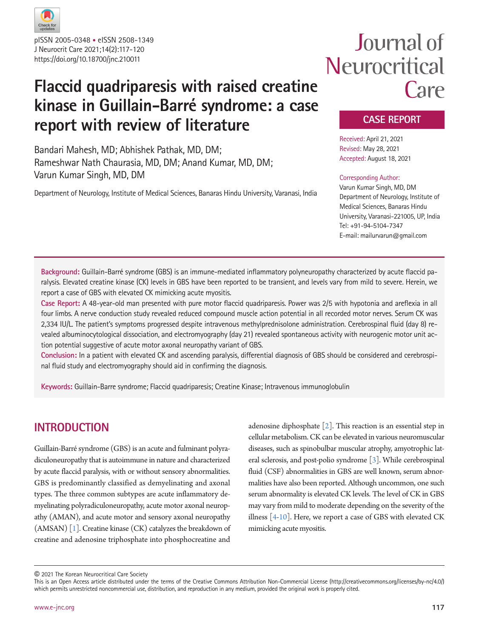

J Neurocrit Care 2021;14(2):117-120 https://doi.org/10.18700/jnc.210011 pISSN 2005-0348 • eISSN 2508-1349

## **Flaccid quadriparesis with raised creatine kinase in Guillain-Barré syndrome: a case report with review of literature**

Bandari Mahesh, MD; Abhishek Pathak, MD, DM; Rameshwar Nath Chaurasia, MD, DM; Anand Kumar, MD, DM; Varun Kumar Singh, MD, DM

Department of Neurology, Institute of Medical Sciences, Banaras Hindu University, Varanasi, India

# Journal of Neurocritical Care

## **CASE REPORT**

Received: April 21, 2021 Revised: May 28, 2021 Accepted: August 18, 2021

#### Corresponding Author:

Varun Kumar Singh, MD, DM Department of Neurology, Institute of Medical Sciences, Banaras Hindu University, Varanasi-221005, UP, India Tel: +91-94-5104-7347 E-mail: mailurvarun@gmail.com

**Background:** Guillain-Barré syndrome (GBS) is an immune-mediated inflammatory polyneuropathy characterized by acute flaccid paralysis. Elevated creatine kinase (CK) levels in GBS have been reported to be transient, and levels vary from mild to severe. Herein, we report a case of GBS with elevated CK mimicking acute myositis.

**Case Report:** A 48-year-old man presented with pure motor flaccid quadriparesis. Power was 2/5 with hypotonia and areflexia in all four limbs. A nerve conduction study revealed reduced compound muscle action potential in all recorded motor nerves. Serum CK was 2,334 IU/L. The patient's symptoms progressed despite intravenous methylprednisolone administration. Cerebrospinal fluid (day 8) revealed albuminocytological dissociation, and electromyography (day 21) revealed spontaneous activity with neurogenic motor unit action potential suggestive of acute motor axonal neuropathy variant of GBS.

**Conclusion:** In a patient with elevated CK and ascending paralysis, differential diagnosis of GBS should be considered and cerebrospinal fluid study and electromyography should aid in confirming the diagnosis.

**Keywords:** Guillain-Barre syndrome; Flaccid quadriparesis; Creatine Kinase; Intravenous immunoglobulin

## **INTRODUCTION**

Guillain-Barré syndrome (GBS) is an acute and fulminant polyradiculoneuropathy that is autoimmune in nature and characterized by acute flaccid paralysis, with or without sensory abnormalities. GBS is predominantly classified as demyelinating and axonal types. The three common subtypes are acute inflammatory demyelinating polyradiculoneuropathy, acute motor axonal neuropathy (AMAN), and acute motor and sensory axonal neuropathy (AMSAN) [\[1\]](#page-3-0). Creatine kinase (CK) catalyzes the breakdown of creatine and adenosine triphosphate into phosphocreatine and

adenosine diphosphate  $[2]$  $[2]$ . This reaction is an essential step in cellular metabolism. CK can be elevated in various neuromuscular diseases, such as spinobulbar muscular atrophy, amyotrophic lateral sclerosis, and post-polio syndrome [\[3\]](#page-3-2). While cerebrospinal fluid (CSF) abnormalities in GBS are well known, serum abnormalities have also been reported. Although uncommon, one such serum abnormality is elevated CK levels. The level of CK in GBS may vary from mild to moderate depending on the severity of the illness [\[4](#page-3-3)[-10\]](#page-3-4). Here, we report a case of GBS with elevated CK mimicking acute myositis.

© 2021 The Korean Neurocritical Care Society

This is an Open Access article distributed under the terms of the Creative Commons Attribution Non-Commercial License (http://creativecommons.org/licenses/by-nc/4.0/) which permits unrestricted noncommercial use, distribution, and reproduction in any medium, provided the original work is properly cited.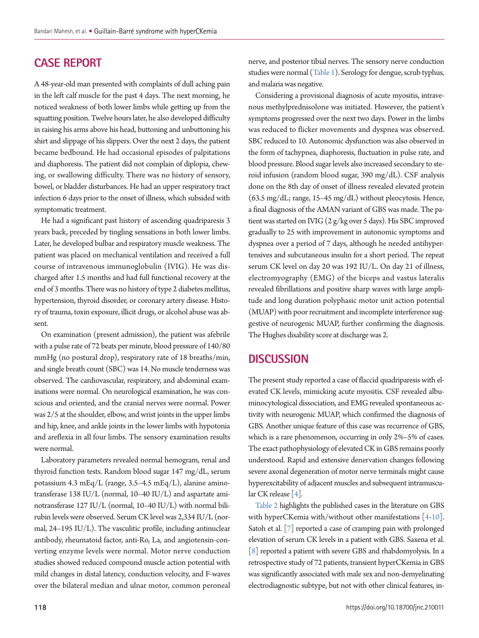## **CASE REPORT**

A 48-year-old man presented with complaints of dull aching pain in the left calf muscle for the past 4 days. The next morning, he noticed weakness of both lower limbs while getting up from the squatting position. Twelve hours later, he also developed difficulty in raising his arms above his head, buttoning and unbuttoning his shirt and slippage of his slippers. Over the next 2 days, the patient became bedbound. He had occasional episodes of palpitations and diaphoresis. The patient did not complain of diplopia, chewing, or swallowing difficulty. There was no history of sensory, bowel, or bladder disturbances. He had an upper respiratory tract infection 6 days prior to the onset of illness, which subsided with symptomatic treatment.

He had a significant past history of ascending quadriparesis 3 years back, preceded by tingling sensations in both lower limbs. Later, he developed bulbar and respiratory muscle weakness. The patient was placed on mechanical ventilation and received a full course of intravenous immunoglobulin (IVIG). He was discharged after 1.5 months and had full functional recovery at the end of 3 months. There was no history of type 2 diabetes mellitus, hypertension, thyroid disorder, or coronary artery disease. History of trauma, toxin exposure, illicit drugs, or alcohol abuse was absent.

On examination (present admission), the patient was afebrile with a pulse rate of 72 beats per minute, blood pressure of 140/80 mmHg (no postural drop), respiratory rate of 18 breaths/min, and single breath count (SBC) was 14. No muscle tenderness was observed. The cardiovascular, respiratory, and abdominal examinations were normal. On neurological examination, he was conscious and oriented, and the cranial nerves were normal. Power was 2/5 at the shoulder, elbow, and wrist joints in the upper limbs and hip, knee, and ankle joints in the lower limbs with hypotonia and areflexia in all four limbs. The sensory examination results were normal.

Laboratory parameters revealed normal hemogram, renal and thyroid function tests. Random blood sugar 147 mg/dL, serum potassium 4.3 mEq/L (range, 3.5–4.5 mEq/L), alanine aminotransferase 138 IU/L (normal, 10–40 IU/L) and aspartate aminotransferase 127 IU/L (normal, 10–40 IU/L) with normal bilirubin levels were observed. Serum CK level was 2,334 IU/L (normal, 24–195 IU/L). The vasculitic profile, including antinuclear antibody, rheumatoid factor, anti-Ro, La, and angiotensin-converting enzyme levels were normal. Motor nerve conduction studies showed reduced compound muscle action potential with mild changes in distal latency, conduction velocity, and F-waves over the bilateral median and ulnar motor, common peroneal nerve, and posterior tibial nerves. The sensory nerve conduction studies were normal [\(Table 1](#page-2-0)). Serology for dengue, scrub typhus, and malaria was negative.

Considering a provisional diagnosis of acute myositis, intravenous methylprednisolone was initiated. However, the patient's symptoms progressed over the next two days. Power in the limbs was reduced to flicker movements and dyspnea was observed. SBC reduced to 10. Autonomic dysfunction was also observed in the form of tachypnea, diaphoresis, fluctuation in pulse rate, and blood pressure. Blood sugar levels also increased secondary to steroid infusion (random blood sugar, 390 mg/dL). CSF analysis done on the 8th day of onset of illness revealed elevated protein (63.5 mg/dL; range, 15–45 mg/dL) without pleocytosis. Hence, a final diagnosis of the AMAN variant of GBS was made. The patient was started on IVIG (2 g/kg over 5 days). His SBC improved gradually to 25 with improvement in autonomic symptoms and dyspnea over a period of 7 days, although he needed antihypertensives and subcutaneous insulin for a short period. The repeat serum CK level on day 20 was 192 IU/L. On day 21 of illness, electromyography (EMG) of the biceps and vastus lateralis revealed fibrillations and positive sharp waves with large amplitude and long duration polyphasic motor unit action potential (MUAP) with poor recruitment and incomplete interference suggestive of neurogenic MUAP, further confirming the diagnosis. The Hughes disability score at discharge was 2.

## **DISCUSSION**

The present study reported a case of flaccid quadriparesis with elevated CK levels, mimicking acute myositis. CSF revealed albuminocytological dissociation, and EMG revealed spontaneous activity with neurogenic MUAP, which confirmed the diagnosis of GBS. Another unique feature of this case was recurrence of GBS, which is a rare phenomenon, occurring in only 2%–5% of cases. The exact pathophysiology of elevated CK in GBS remains poorly understood. Rapid and extensive denervation changes following severe axonal degeneration of motor nerve terminals might cause hyperexcitability of adjacent muscles and subsequent intramuscular CK release [4].

[Table 2](#page-2-1) highlights the published cases in the literature on GBS with hyperCKemia with/without other manifestations [4-10]. Satoh et al. [\[7\]](#page-3-5) reported a case of cramping pain with prolonged elevation of serum CK levels in a patient with GBS. Saxena et al. [\[8\]](#page-3-6) reported a patient with severe GBS and rhabdomyolysis. In a retrospective study of 72 patients, transient hyperCKemia in GBS was significantly associated with male sex and non-demyelinating electrodiagnostic subtype, but not with other clinical features, in-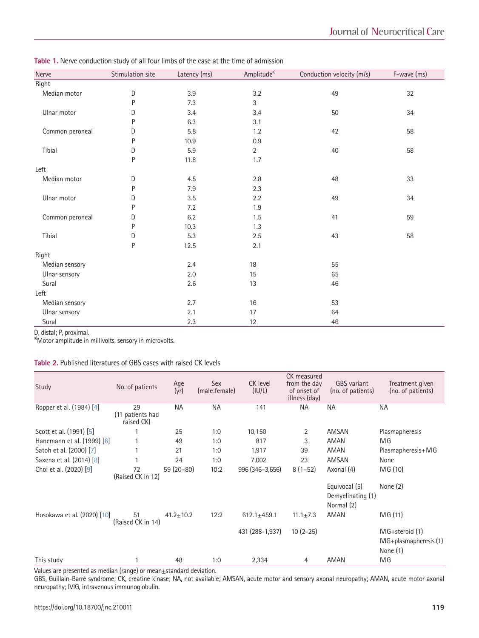<span id="page-2-0"></span>**Table 1.** Nerve conduction study of all four limbs of the case at the time of admission

| Nerve                 | Stimulation site | Latency (ms) | Amplitude <sup>a)</sup> | Conduction velocity (m/s) | F-wave (ms) |  |
|-----------------------|------------------|--------------|-------------------------|---------------------------|-------------|--|
| Right                 |                  |              |                         |                           |             |  |
| Median motor          | D                | $3.9\,$      | $3.2\,$                 | 49                        | 32          |  |
|                       | P                | 7.3          | 3                       |                           |             |  |
| Ulnar motor           | D                | 3.4          | 3.4                     | 50                        | 34          |  |
|                       | P                | 6.3          | 3.1                     |                           |             |  |
| Common peroneal       | D                | 5.8          | 1.2                     | 42                        | 58          |  |
|                       | P                | 10.9         | 0.9                     |                           |             |  |
| Tibial                | D                | 5.9          | $\overline{2}$          | 40                        | 58          |  |
|                       | P                | 11.8         | $1.7\,$                 |                           |             |  |
| Left                  |                  |              |                         |                           |             |  |
| Median motor          | D                | 4.5          | $2.8\,$                 | 48                        | 33          |  |
|                       | P                | 7.9          | 2.3                     |                           |             |  |
| Ulnar motor           | D                | 3.5          | 2.2                     | 49                        | 34          |  |
|                       | P                | 7.2          | 1.9                     |                           |             |  |
| Common peroneal       | D                | 6.2          | 1.5                     | 41                        | 59          |  |
|                       | P                | 10.3         | 1.3                     |                           |             |  |
| Tibial                | D                | 5.3          | 2.5                     | 43                        | 58          |  |
|                       | $\mathsf{P}$     | 12.5         | 2.1                     |                           |             |  |
| Right                 |                  |              |                         |                           |             |  |
| Median sensory        | 2.4              |              | 18                      | 55                        |             |  |
| Ulnar sensory         | 2.0              |              | 15<br>65                |                           |             |  |
| Sural                 |                  | 2.6          | 13                      | 46                        |             |  |
| Left                  |                  |              |                         |                           |             |  |
| Median sensory<br>2.7 |                  | 16<br>53     |                         |                           |             |  |
| Ulnar sensory         | 2.1              |              | 17                      | 64                        |             |  |
| Sural                 | 2.3              |              | 12                      | 46                        |             |  |

D, distal; P, proximal.

a)Motor amplitude in millivolts, sensory in microvolts.

### <span id="page-2-1"></span>**Table 2.** Published literatures of GBS cases with raised CK levels

| Study                       | No. of patients                      | Age<br>(yr)     | Sex<br>(male:female) | CK level<br>(IU/L) | CK measured<br>from the day<br>of onset of<br>illness (day) | <b>GBS</b> variant<br>(no. of patients)          | Treatment given<br>(no. of patients)                               |
|-----------------------------|--------------------------------------|-----------------|----------------------|--------------------|-------------------------------------------------------------|--------------------------------------------------|--------------------------------------------------------------------|
| Ropper et al. (1984) [4]    | 29<br>(11 patients had<br>raised CK) | <b>NA</b>       | <b>NA</b>            | 141                | ΝA                                                          | ΝA                                               | <b>NA</b>                                                          |
| Scott et al. (1991) [5]     |                                      | 25              | 1:0                  | 10,150             | 2                                                           | AMSAN                                            | Plasmapheresis                                                     |
| Hanemann et al. (1999) [6]  |                                      | 49              | 1:0                  | 817                | 3                                                           | AMAN                                             | IVIG                                                               |
| Satoh et al. (2000) [7]     |                                      | 21              | 1:0                  | 1,917              | 39                                                          | AMAN                                             | Plasmapheresis+IVIG                                                |
| Saxena et al. (2014) [8]    |                                      | 24              | 1:0                  | 7,002              | 23                                                          | AMSAN                                            | None                                                               |
| Choi et al. (2020) [9]      | 72<br>(Raised CK in 12)              | $59(20-80)$     | 10:2                 | 996 (346-3,656)    | $8(1-52)$                                                   | Axonal (4)                                       | IVIG (10)                                                          |
|                             |                                      |                 |                      |                    |                                                             | Equivocal (5)<br>Demyelinating (1)<br>Normal (2) | None $(2)$                                                         |
| Hosokawa et al. (2020) [10] | 51<br>(Raised CK in 14)              | $41.2 \pm 10.2$ | 12:2                 | $612.1 + 459.1$    | $11.1 \pm 7.3$                                              | AMAN                                             | IVIG(11)                                                           |
|                             |                                      |                 |                      | 431 (288-1,937)    | $10(2-25)$                                                  |                                                  | IVIG+steroid (1)<br>$I\vee I\vee I\rightarrow I\vee I$<br>None (1) |
| This study                  |                                      | 48              | 1:0                  | 2,334              | 4                                                           | AMAN                                             | <b>IVIG</b>                                                        |

Values are presented as median (range) or mean±standard deviation.

GBS, Guillain-Barré syndrome; CK, creatine kinase; NA, not available; AMSAN, acute motor and sensory axonal neuropathy; AMAN, acute motor axonal neuropathy; IVIG, intravenous immunoglobulin.